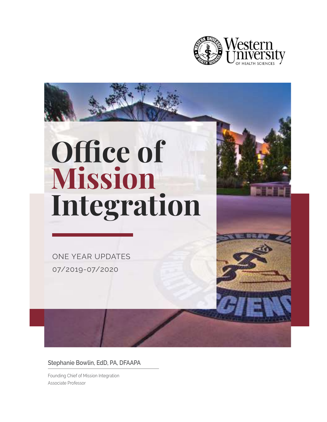

# Office of Mission Integration

ONE YEAR UPDATES 07/2019-07/2020

Stephanie Bowlin, EdD, PA, DFAAPA

Founding Chief of Mission Integration Associate Professor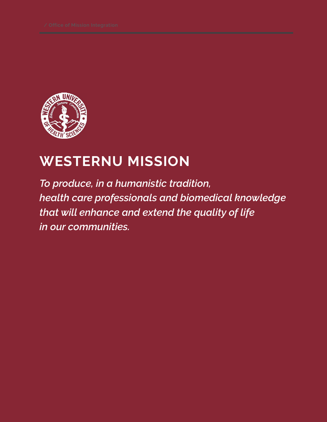

### WESTERNU MISSION

To produce, in a humanistic tradition, health care professionals and biomedical knowledge that will enhance and extend the quality of life in our communities.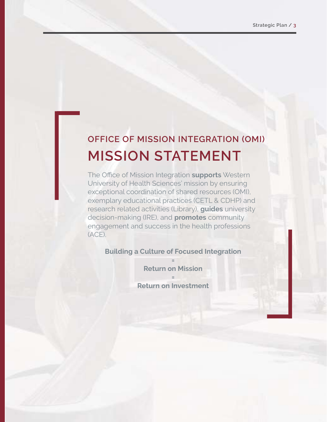### MISSION STATEMENT OFFICE OF MISSION INTEGRATION (OMI)

The Office of Mission Integration supports Western University of Health Sciences' mission by ensuring exceptional coordination of shared resources (OMI), exemplary educational practices (CETL & CDHP) and research related activities (Library), **guides** university decision-making (IRE), and **promotes** community engagement and success in the health professions (ACE).

Building a Culture of Focused Integration

= Return on Mission

=

Return on Investment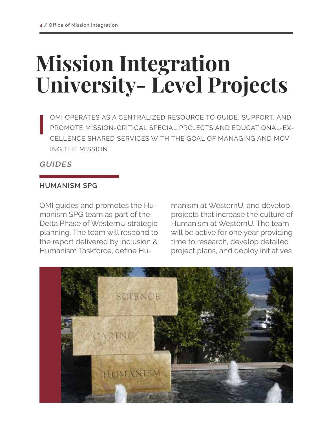## Mission Integration University- Level Projects

OMI OPERATES AS A CENTRALIZED RESOURCE TO GUIDE, SUPPORT, AND PROMOTE MISSION-CRITICAL SPECIAL PROJECTS AND EDUCATIONAL-EX-CELLENCE SHARED SERVICES WITH THE GOAL OF MANAGING AND MOV-ING THE MISSION

**GUIDES** 

#### HUMANISM SPG

OMI guides and promotes the Humanism SPG team as part of the Delta Phase of WesternU strategic planning. The team will respond to the report delivered by Inclusion & Humanism Taskforce, define Hu-

manism at WesternU, and develop projects that increase the culture of Humanism at WesternU. The team will be active for one year providing time to research, develop detailed project plans, and deploy initiatives

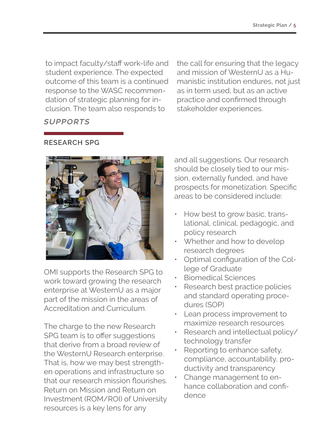to impact faculty/staff work-life and student experience. The expected outcome of this team is a continued response to the WASC recommendation of strategic planning for inclusion. The team also responds to

the call for ensuring that the legacy and mission of WesternU as a Humanistic institution endures, not just as in term used, but as an active practice and confirmed through stakeholder experiences.

#### **SUPPORTS**

RESEARCH SPG



OMI supports the Research SPG to work toward growing the research enterprise at WesternU as a major part of the mission in the areas of Accreditation and Curriculum.

The charge to the new Research SPG team is to offer suggestions that derive from a broad review of the WesternU Research enterprise. That is, how we may best strengthen operations and infrastructure so that our research mission flourishes. Return on Mission and Return on Investment (ROM/ROI) of University resources is a key lens for any

and all suggestions. Our research should be closely tied to our mission, externally funded, and have prospects for monetization. Specific areas to be considered include:

- How best to grow basic, translational, clinical, pedagogic, and policy research
- Whether and how to develop research degrees
- Optimal configuration of the College of Graduate
- Biomedical Sciences
- Research best practice policies and standard operating procedures (SOP)
- Lean process improvement to maximize research resources
- Research and intellectual policy/ technology transfer
- Reporting to enhance safety, compliance, accountability, productivity and transparency
- Change management to enhance collaboration and confidence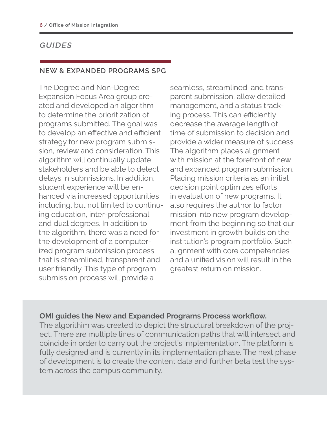#### NEW & EXPANDED PROGRAMS SPG

The Degree and Non-Degree Expansion Focus Area group created and developed an algorithm to determine the prioritization of programs submitted. The goal was to develop an effective and efficient strategy for new program submission, review and consideration. This algorithm will continually update stakeholders and be able to detect delays in submissions. In addition, student experience will be enhanced via increased opportunities including, but not limited to continuing education, inter-professional and dual degrees. In addition to the algorithm, there was a need for the development of a computerized program submission process that is streamlined, transparent and user friendly. This type of program submission process will provide a

seamless, streamlined, and transparent submission, allow detailed management, and a status tracking process. This can efficiently decrease the average length of time of submission to decision and provide a wider measure of success. The algorithm places alignment with mission at the forefront of new and expanded program submission. Placing mission criteria as an initial decision point optimizes efforts in evaluation of new programs. It also requires the author to factor mission into new program development from the beginning so that our investment in growth builds on the institution's program portfolio. Such alignment with core competencies and a unified vision will result in the greatest return on mission.

#### OMI guides the New and Expanded Programs Process workflow.

The algorithim was created to depict the structural breakdown of the project. There are multiple lines of communication paths that will intersect and coincide in order to carry out the project's implementation. The platform is fully designed and is currently in its implementation phase. The next phase of development is to create the content data and further beta test the system across the campus community.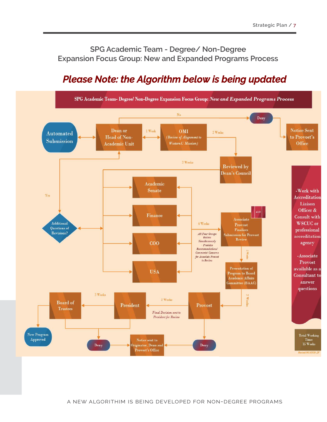SPG Academic Team - Degree/ Non-Degree Expansion Focus Group: New and Expanded Programs Process

#### *Please Note: the Algorithm below is being updated*

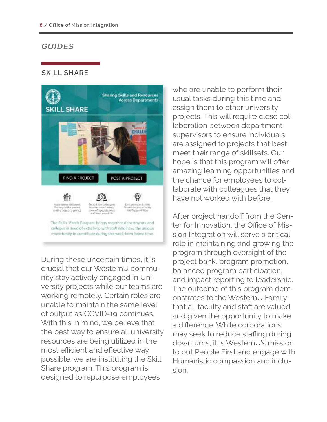#### SKILL SHARE



During these uncertain times, it is crucial that our WesternU community stay actively engaged in University projects while our teams are working remotely. Certain roles are unable to maintain the same level of output as COVID-19 continues. With this in mind, we believe that the best way to ensure all university resources are being utilized in the most efficient and effective way possible, we are instituting the Skill Share program. This program is designed to repurpose employees

who are unable to perform their usual tasks during this time and assign them to other university projects. This will require close collaboration between department supervisors to ensure individuals are assigned to projects that best meet their range of skillsets. Our hope is that this program will offer amazing learning opportunities and the chance for employees to collaborate with colleagues that they have not worked with before.

After project handoff from the Center for Innovation, the Office of Mission Integration will serve a critical role in maintaining and growing the program through oversight of the project bank, program promotion, balanced program participation, and impact reporting to leadership. The outcome of this program demonstrates to the WesternU Family that all faculty and staff are valued and given the opportunity to make a difference. While corporations may seek to reduce staffing during downturns, it is WesternU's mission to put People First and engage with Humanistic compassion and inclusion.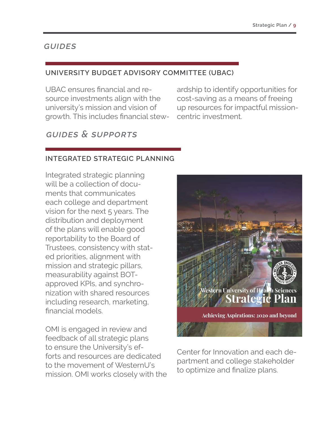#### UNIVERSITY BUDGET ADVISORY COMMITTEE (UBAC)

UBAC ensures financial and resource investments align with the university's mission and vision of growth. This includes financial stew-

#### GUIDES & SUPPORTS

ardship to identify opportunities for cost-saving as a means of freeing up resources for impactful missioncentric investment.

#### INTEGRATED STRATEGIC PLANNING

Integrated strategic planning will be a collection of documents that communicates each college and department vision for the next 5 years. The distribution and deployment of the plans will enable good reportability to the Board of Trustees, consistency with stated priorities, alignment with mission and strategic pillars, measurability against BOTapproved KPIs, and synchronization with shared resources including research, marketing, financial models.

OMI is engaged in review and feedback of all strategic plans to ensure the University's efforts and resources are dedicated to the movement of WesternU's mission. OMI works closely with the



Center for Innovation and each department and college stakeholder to optimize and finalize plans.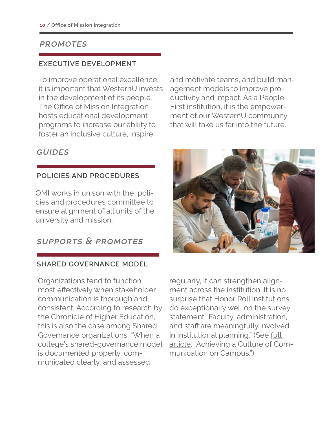#### PROMOTES

#### EXECUTIVE DEVELOPMENT

To improve operational excellence, it is important that WesternU invests in the development of its people. The Office of Mission Integration hosts educational development programs to increase our ability to foster an inclusive culture, inspire

and motivate teams, and build management models to improve productivity and impact. As a People First institution, it is the empowerment of our WesternU community that will take us far into the future.

#### **GUIDES**

#### POLICIES AND PROCEDURES

OMI works in unison with the policies and procedures committee to ensure alignment of all units of the university and mission.

#### SUPPORTS & PROMOTES

#### SHARED GOVERNANCE MODEL

Organizations tend to function most effectively when stakeholder communication is thorough and consistent. According to research by the Chronicle of Higher Education, this is also the case among Shared Governance organizations. "When a college's shared-governance model is documented properly, communicated clearly, and assessed



regularly, it can strengthen alignment across the institution. It is no surprise that Honor Roll institutions do exceptionally well on the survey statement "Faculty, administration, and staff are meaningfully involved in institutional planning." (See full article, "Achieving a Culture of Communication on Campus.")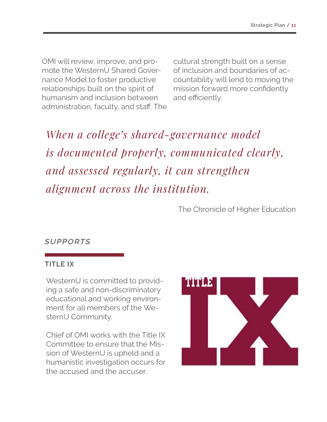OMI will review, improve, and promote the WesternU Shared Governance Model to foster productive relationships built on the spirit of humanism and inclusion between administration, faculty, and staff. The cultural strength built on a sense of inclusion and boundaries of accountability will lend to moving the mission forward more confidently and efficiently.

When a college's shared-governance model is documented properly, communicated clearly, and assessed regularly, it can strengthen alignment across the institution.

The Chronicle of Higher Education

#### SUPPORTS

#### TITLE IX

WesternU is committed to providing a safe and non-discriminatory educational and working environment for all members of the WesternU Community.

Chief of OMI works with the Title IX Committee to ensure that the Mission of WesternU is upheld and a humanistic investigation occurs for the accused and the accuser.

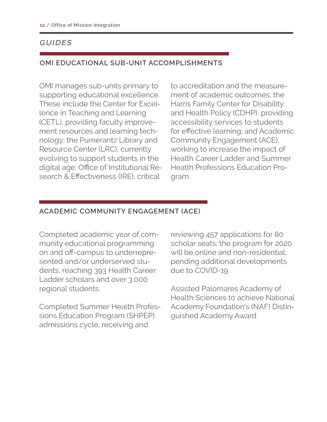#### OMI EDUCATIONAL SUB-UNIT ACCOMPLISHMENTS

OMI manages sub-units primary to supporting educational excellence. These include the Center for Excellence in Teaching and Learning (CETL), providing faculty improvement resources and learning technology; the Pumerantz Library and Resource Center (LRC), currently evolving to support students in the digital age; Office of Institutional Research & Effectiveness (IRE), critical

to accreditation and the measurement of academic outcomes; the Harris Family Center for Disability and Health Policy (CDHP), providing accessibility services to students for effective learning; and Academic Community Engagement (ACE), working to increase the impact of Health Career Ladder and Summer Heatlh Professions Education Program.

#### ACADEMIC COMMUNITY ENGAGEMENT (ACE)

Completed academic year of community educational programming on and off -campus to underrepresented and/or underserved students, reaching 393 Health Career Ladder scholars and over 3,000 regional students.

Completed Summer Health Professions Education Program (SHPEP) admissions cycle, receiving and

reviewing 457 applications for 80 scholar seats; the program for 2020 will be online and non-residential, pending additional developments due to COVID-19

Assisted Palomares Academy of Health Sciences to achieve National Academy Foundation's (NAF) Distinguished Academy Award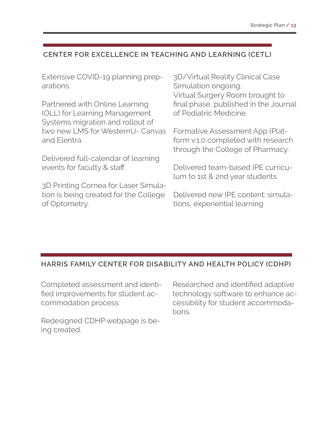#### CENTER FOR EXCELLENCE IN TEACHING AND LEARNING (CETL)

Extensive COVID-19 planning preparations.

Partnered with Online Learning (OLL) for Learning Management Systems migration and rollout of two new LMS for WesternU- Canvas and Elentra.

Delivered full-calendar of learning events for faculty & staff.

3D Printing Cornea for Laser Simulation is being created for the College of Optometry.

3D/Virtual Reality Clinical Case Simulation ongoing. Virtual Surgery Room brought to final phase, published in the Journal of Podiatric Medicine.

Formative Assessment App (Platform v.1.0 completed with research through the College of Pharmacy.

Delivered team-based IPE curriculum to 1st & 2nd year students

Delivered new IPE content: simulations, experiential learning

#### HARRIS FAMILY CENTER FOR DISABILITY AND HEALTH POLICY (CDHP)

Completed assessment and identified improvements for student accommodation process.

Redesigned CDHP webpage is being created.

Researched and identified adaptive technology software to enhance accessibility for student accommodations.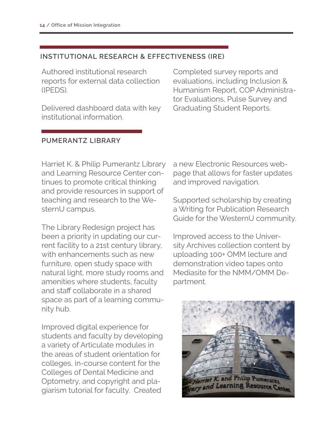#### INSTITUTIONAL RESEARCH & EFFECTIVENESS (IRE)

Authored institutional research reports for external data collection (IPEDS).

Delivered dashboard data with key institutional information.

Completed survey reports and evaluations, including Inclusion & Humanism Report, COP Administrator Evaluations, Pulse Survey and Graduating Student Reports.

#### PUMERANTZ LIBRARY

Harriet K. & Philip Pumerantz Library and Learning Resource Center continues to promote critical thinking and provide resources in support of teaching and research to the WesternU campus.

The Library Redesign project has been a priority in updating our current facility to a 21st century library, with enhancements such as new furniture, open study space with natural light, more study rooms and amenities where students, faculty and staff collaborate in a shared space as part of a learning community hub.

Improved digital experience for students and faculty by developing a variety of Articulate modules in the areas of student orientation for colleges, in-course content for the Colleges of Dental Medicine and Optometry, and copyright and plagiarism tutorial for faculty. Created

a new Electronic Resources webpage that allows for faster updates and improved navigation.

Supported scholarship by creating a Writing for Publication Research Guide for the WesternU community.

Improved access to the University Archives collection content by uploading 100+ OMM lecture and demonstration video tapes onto Mediasite for the NMM/OMM Department.